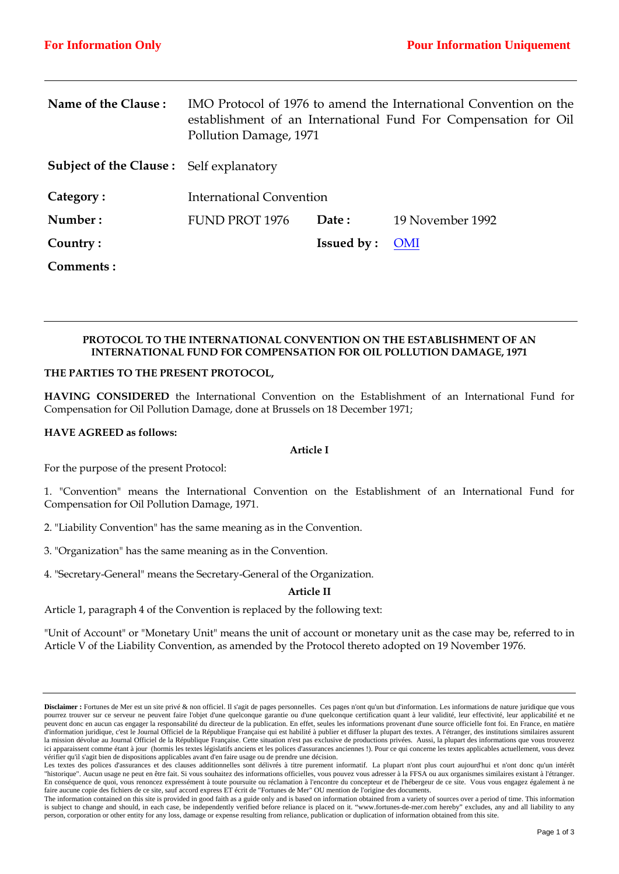| Name of the Clause:                            | IMO Protocol of 1976 to amend the International Convention on the<br>establishment of an International Fund For Compensation for Oil<br>Pollution Damage, 1971 |                   |                  |
|------------------------------------------------|----------------------------------------------------------------------------------------------------------------------------------------------------------------|-------------------|------------------|
| <b>Subject of the Clause:</b> Self explanatory |                                                                                                                                                                |                   |                  |
| Category:                                      | <b>International Convention</b>                                                                                                                                |                   |                  |
| Number:                                        | <b>FUND PROT 1976</b>                                                                                                                                          | Date:             | 19 November 1992 |
| Country:                                       |                                                                                                                                                                | <b>Issued by:</b> | <b>OMI</b>       |
| Comments:                                      |                                                                                                                                                                |                   |                  |

# **PROTOCOL TO THE INTERNATIONAL CONVENTION ON THE ESTABLISHMENT OF AN INTERNATIONAL FUND FOR COMPENSATION FOR OIL POLLUTION DAMAGE, 1971**

## **THE PARTIES TO THE PRESENT PROTOCOL,**

**HAVING CONSIDERED** the International Convention on the Establishment of an International Fund for Compensation for Oil Pollution Damage, done at Brussels on 18 December 1971;

## **HAVE AGREED as follows:**

## **Article I**

For the purpose of the present Protocol:

1. "Convention" means the International Convention on the Establishment of an International Fund for Compensation for Oil Pollution Damage, 1971.

- 2. "Liability Convention" has the same meaning as in the Convention.
- 3. "Organization" has the same meaning as in the Convention.
- 4. "Secretary-General" means the Secretary-General of the Organization.

## **Article II**

Article 1, paragraph 4 of the Convention is replaced by the following text:

"Unit of Account" or "Monetary Unit" means the unit of account or monetary unit as the case may be, referred to in Article V of the Liability Convention, as amended by the Protocol thereto adopted on 19 November 1976.

**Disclaimer :** Fortunes de Mer est un site privé & non officiel. Il s'agit de pages personnelles. Ces pages n'ont qu'un but d'information. Les informations de nature juridique que vous pourrez trouver sur ce serveur ne peuvent faire l'objet d'une quelconque garantie ou d'une quelconque certification quant à leur validité, leur effectivité, leur applicabilité et ne peuvent donc en aucun cas engager la responsabilité du directeur de la publication. En effet, seules les informations provenant d'une source officielle font foi. En France, en matière d'information juridique, c'est le Journal Officiel de la République Française qui est habilité à publier et diffuser la plupart des textes. A l'étranger, des institutions similaires assurent la mission dévolue au Journal Officiel de la République Française. Cette situation n'est pas exclusive de productions privées. Aussi, la plupart des informations que vous trouverez ici apparaissent comme étant à jour (hormis les textes législatifs anciens et les polices d'assurances anciennes !). Pour ce qui concerne les textes applicables actuellement, vous devez vérifier qu'il s'agit bien de dispositions applicables avant d'en faire usage ou de prendre une décision.

Les textes des polices d'assurances et des clauses additionnelles sont délivrés à titre purement informatif. La plupart n'ont plus court aujourd'hui et n'ont donc qu'un intérêt "historique". Aucun usage ne peut en être fait. Si vous souhaitez des informations officielles, vous pouvez vous adresser à la FFSA ou aux organismes similaires existant à l'étranger. En conséquence de quoi, vous renoncez expressément à toute poursuite ou réclamation à l'encontre du concepteur et de l'hébergeur de ce site. Vous vous engagez également à ne faire aucune copie des fichiers de ce site, sauf accord express ET écrit de "Fortunes de Mer" OU mention de l'origine des documents.

The information contained on this site is provided in good faith as a guide only and is based on information obtained from a variety of sources over a period of time. This information is subject to change and should, in each case, be independently verified before reliance is placed on it. "www.fortunes-de-mer.com hereby" excludes, any and all liability to any person, corporation or other entity for any loss, damage or expense resulting from reliance, publication or duplication of information obtained from this site.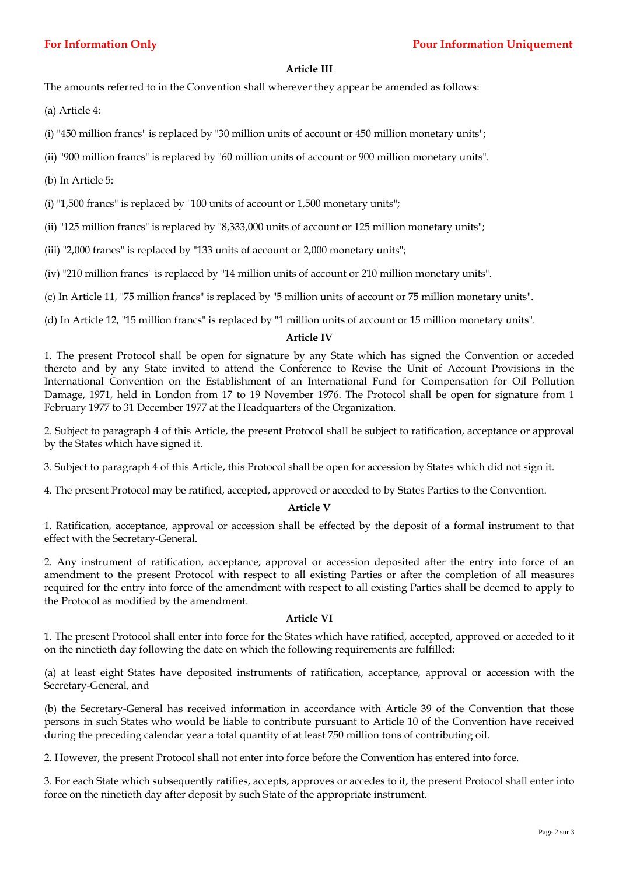# **Article III**

The amounts referred to in the Convention shall wherever they appear be amended as follows:

- (a) Article 4:
- (i) "450 million francs" is replaced by "30 million units of account or 450 million monetary units";
- (ii) "900 million francs" is replaced by "60 million units of account or 900 million monetary units".
- (b) In Article 5:
- (i) "1,500 francs" is replaced by "100 units of account or 1,500 monetary units";
- (ii) "125 million francs" is replaced by "8,333,000 units of account or 125 million monetary units";
- (iii) "2,000 francs" is replaced by "133 units of account or 2,000 monetary units";
- (iv) "210 million francs" is replaced by "14 million units of account or 210 million monetary units".
- (c) In Article 11, "75 million francs" is replaced by "5 million units of account or 75 million monetary units".

(d) In Article 12, "15 million francs" is replaced by "1 million units of account or 15 million monetary units".

## **Article IV**

1. The present Protocol shall be open for signature by any State which has signed the Convention or acceded thereto and by any State invited to attend the Conference to Revise the Unit of Account Provisions in the International Convention on the Establishment of an International Fund for Compensation for Oil Pollution Damage, 1971, held in London from 17 to 19 November 1976. The Protocol shall be open for signature from 1 February 1977 to 31 December 1977 at the Headquarters of the Organization.

2. Subject to paragraph 4 of this Article, the present Protocol shall be subject to ratification, acceptance or approval by the States which have signed it.

3. Subject to paragraph 4 of this Article, this Protocol shall be open for accession by States which did not sign it.

4. The present Protocol may be ratified, accepted, approved or acceded to by States Parties to the Convention.

# **Article V**

1. Ratification, acceptance, approval or accession shall be effected by the deposit of a formal instrument to that effect with the Secretary-General.

2. Any instrument of ratification, acceptance, approval or accession deposited after the entry into force of an amendment to the present Protocol with respect to all existing Parties or after the completion of all measures required for the entry into force of the amendment with respect to all existing Parties shall be deemed to apply to the Protocol as modified by the amendment.

## **Article VI**

1. The present Protocol shall enter into force for the States which have ratified, accepted, approved or acceded to it on the ninetieth day following the date on which the following requirements are fulfilled:

(a) at least eight States have deposited instruments of ratification, acceptance, approval or accession with the Secretary-General, and

(b) the Secretary-General has received information in accordance with Article 39 of the Convention that those persons in such States who would be liable to contribute pursuant to Article 10 of the Convention have received during the preceding calendar year a total quantity of at least 750 million tons of contributing oil.

2. However, the present Protocol shall not enter into force before the Convention has entered into force.

3. For each State which subsequently ratifies, accepts, approves or accedes to it, the present Protocol shall enter into force on the ninetieth day after deposit by such State of the appropriate instrument.